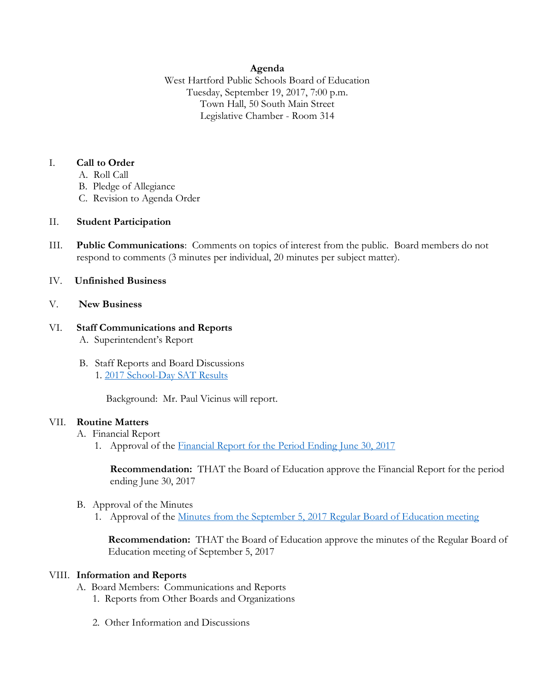### **Agenda**

West Hartford Public Schools Board of Education Tuesday, September 19, 2017, 7:00 p.m. Town Hall, 50 South Main Street Legislative Chamber - Room 314

#### I. **Call to Order**

- A. Roll Call
- B. Pledge of Allegiance
- C. Revision to Agenda Order

## II. **Student Participation**

III. **Public Communications**: Comments on topics of interest from the public. Board members do not respond to comments (3 minutes per individual, 20 minutes per subject matter).

## IV. **Unfinished Business**

#### V. **New Business**

#### VI. **Staff Communications and Reports** A. Superintendent's Report

B. Staff Reports and Board Discussions 1. 2017 [School-Day SAT Results](http://www.whps.org/uploaded/BOE/BOE_Documents/20170919/2017_School-Day_SAT_Results.pdf?1505484498587)

Background: Mr. Paul Vicinus will report.

#### VII. **Routine Matters**

- A. Financial Report
	- 1. Approval of the [Financial Report for the Period Ending](http://www.whps.org/uploaded/BOE/BOE_Documents/20170919/Financial_Report_-_June_30,_2017.pdf?1505484533956) June 30, 2017

**Recommendation:** THAT the Board of Education approve the Financial Report for the period ending June 30, 2017

- B. Approval of the Minutes
	- 1. Approval of the [Minutes from the September 5, 2017](http://www.whps.org/uploaded/BOE/BOE_Documents/20170919/revised_minutes_from_sept._5,_2017.pdf?1505484518262) Regular Board of Education meeting

**Recommendation:** THAT the Board of Education approve the minutes of the Regular Board of Education meeting of September 5, 2017

#### VIII. **Information and Reports**

- A. Board Members: Communications and Reports
	- 1. Reports from Other Boards and Organizations
	- 2. Other Information and Discussions